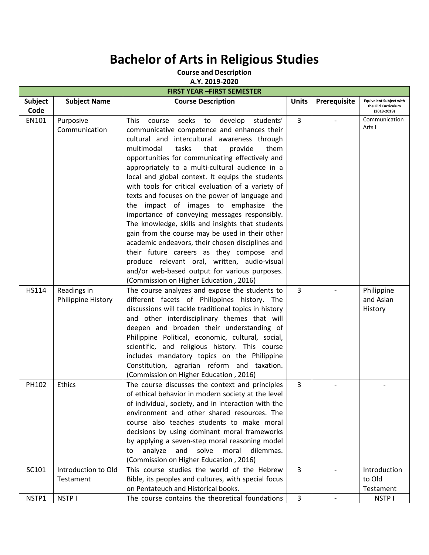## **Bachelor of Arts in Religious Studies**

**Course and Description**

**A.Y. 2019-2020**

| <b>FIRST YEAR -FIRST SEMESTER</b> |                                   |                                                                                                                                                                                                                                                                                                                                                                                                                                                                                                                                                                                                                                                                                                                                                                                                                                                                                                                |              |                          |                                                                         |  |  |
|-----------------------------------|-----------------------------------|----------------------------------------------------------------------------------------------------------------------------------------------------------------------------------------------------------------------------------------------------------------------------------------------------------------------------------------------------------------------------------------------------------------------------------------------------------------------------------------------------------------------------------------------------------------------------------------------------------------------------------------------------------------------------------------------------------------------------------------------------------------------------------------------------------------------------------------------------------------------------------------------------------------|--------------|--------------------------|-------------------------------------------------------------------------|--|--|
| Subject<br>Code                   | <b>Subject Name</b>               | <b>Course Description</b>                                                                                                                                                                                                                                                                                                                                                                                                                                                                                                                                                                                                                                                                                                                                                                                                                                                                                      | <b>Units</b> | Prerequisite             | <b>Equivalent Subject with</b><br>the Old Curriculum<br>$(2018 - 2019)$ |  |  |
| EN101                             | Purposive<br>Communication        | This<br>seeks to develop<br>students'<br>course<br>communicative competence and enhances their<br>cultural and intercultural awareness through<br>multimodal<br>tasks<br>that<br>provide<br>them<br>opportunities for communicating effectively and<br>appropriately to a multi-cultural audience in a<br>local and global context. It equips the students<br>with tools for critical evaluation of a variety of<br>texts and focuses on the power of language and<br>the impact of images to emphasize the<br>importance of conveying messages responsibly.<br>The knowledge, skills and insights that students<br>gain from the course may be used in their other<br>academic endeavors, their chosen disciplines and<br>their future careers as they compose and<br>produce relevant oral, written, audio-visual<br>and/or web-based output for various purposes.<br>(Commission on Higher Education, 2016) | 3            |                          | Communication<br>Arts I                                                 |  |  |
| HS114                             | Readings in<br>Philippine History | The course analyzes and expose the students to<br>different facets of Philippines history. The<br>discussions will tackle traditional topics in history<br>and other interdisciplinary themes that will<br>deepen and broaden their understanding of<br>Philippine Political, economic, cultural, social,<br>scientific, and religious history. This course<br>includes mandatory topics on the Philippine<br>Constitution, agrarian reform and taxation.<br>(Commission on Higher Education, 2016)                                                                                                                                                                                                                                                                                                                                                                                                            | 3            |                          | Philippine<br>and Asian<br>History                                      |  |  |
| PH102                             | <b>Ethics</b>                     | The course discusses the context and principles<br>of ethical behavior in modern society at the level<br>of individual, society, and in interaction with the<br>environment and other shared resources. The<br>course also teaches students to make moral<br>decisions by using dominant moral frameworks<br>by applying a seven-step moral reasoning model<br>and<br>solve<br>moral<br>analyze<br>dilemmas.<br>to<br>(Commission on Higher Education, 2016)                                                                                                                                                                                                                                                                                                                                                                                                                                                   | 3            |                          |                                                                         |  |  |
| SC101                             | Introduction to Old<br>Testament  | This course studies the world of the Hebrew<br>Bible, its peoples and cultures, with special focus<br>on Pentateuch and Historical books.                                                                                                                                                                                                                                                                                                                                                                                                                                                                                                                                                                                                                                                                                                                                                                      | 3            |                          | Introduction<br>to Old<br>Testament                                     |  |  |
| NSTP1                             | NSTP I                            | The course contains the theoretical foundations                                                                                                                                                                                                                                                                                                                                                                                                                                                                                                                                                                                                                                                                                                                                                                                                                                                                | 3            | $\overline{\phantom{0}}$ | NSTP I                                                                  |  |  |
|                                   |                                   |                                                                                                                                                                                                                                                                                                                                                                                                                                                                                                                                                                                                                                                                                                                                                                                                                                                                                                                |              |                          |                                                                         |  |  |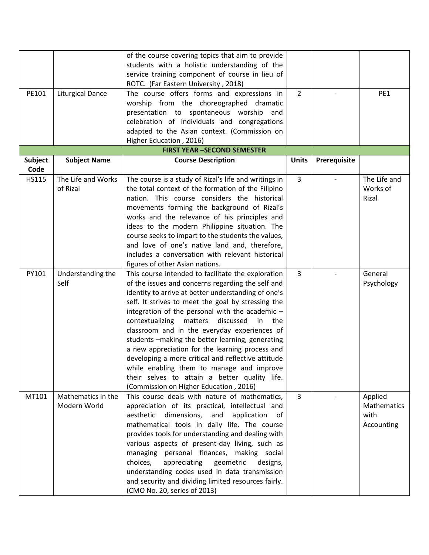| PE101                  | <b>Liturgical Dance</b>            | of the course covering topics that aim to provide<br>students with a holistic understanding of the<br>service training component of course in lieu of<br>ROTC. (Far Eastern University, 2018)<br>The course offers forms and expressions in<br>worship from the choreographed dramatic<br>presentation to spontaneous worship<br>and                                                                                                                                                                                                                                                                                                                                                 | $\overline{2}$ | $\overline{\phantom{a}}$ | PE1                                          |
|------------------------|------------------------------------|--------------------------------------------------------------------------------------------------------------------------------------------------------------------------------------------------------------------------------------------------------------------------------------------------------------------------------------------------------------------------------------------------------------------------------------------------------------------------------------------------------------------------------------------------------------------------------------------------------------------------------------------------------------------------------------|----------------|--------------------------|----------------------------------------------|
|                        |                                    | celebration of individuals and congregations<br>adapted to the Asian context. (Commission on<br>Higher Education, 2016)                                                                                                                                                                                                                                                                                                                                                                                                                                                                                                                                                              |                |                          |                                              |
|                        |                                    | <b>FIRST YEAR -SECOND SEMESTER</b>                                                                                                                                                                                                                                                                                                                                                                                                                                                                                                                                                                                                                                                   |                |                          |                                              |
| <b>Subject</b><br>Code | <b>Subject Name</b>                | <b>Course Description</b>                                                                                                                                                                                                                                                                                                                                                                                                                                                                                                                                                                                                                                                            | <b>Units</b>   | Prerequisite             |                                              |
| <b>HS115</b>           | The Life and Works<br>of Rizal     | The course is a study of Rizal's life and writings in<br>the total context of the formation of the Filipino<br>nation. This course considers the historical<br>movements forming the background of Rizal's<br>works and the relevance of his principles and<br>ideas to the modern Philippine situation. The<br>course seeks to impart to the students the values,<br>and love of one's native land and, therefore,<br>includes a conversation with relevant historical<br>figures of other Asian nations.                                                                                                                                                                           | 3              |                          | The Life and<br>Works of<br>Rizal            |
| PY101                  | Understanding the<br>Self          | This course intended to facilitate the exploration<br>of the issues and concerns regarding the self and<br>identity to arrive at better understanding of one's<br>self. It strives to meet the goal by stressing the<br>integration of the personal with the academic -<br>matters<br>discussed<br>contextualizing<br>in<br>the<br>classroom and in the everyday experiences of<br>students -making the better learning, generating<br>a new appreciation for the learning process and<br>developing a more critical and reflective attitude<br>while enabling them to manage and improve<br>their selves to attain a better quality life.<br>(Commission on Higher Education, 2016) | 3              |                          | General<br>Psychology                        |
| MT101                  | Mathematics in the<br>Modern World | This course deals with nature of mathematics,<br>appreciation of its practical, intellectual and<br>dimensions,<br>aesthetic<br>and<br>application<br>оf<br>mathematical tools in daily life. The course<br>provides tools for understanding and dealing with<br>various aspects of present-day living, such as<br>managing personal finances, making social<br>appreciating<br>geometric<br>choices,<br>designs,<br>understanding codes used in data transmission<br>and security and dividing limited resources fairly.<br>(CMO No. 20, series of 2013)                                                                                                                            | 3              |                          | Applied<br>Mathematics<br>with<br>Accounting |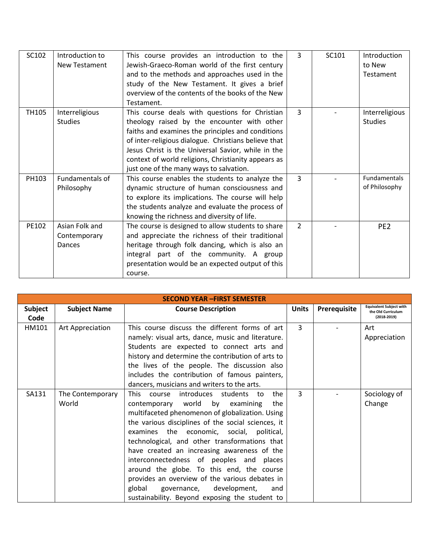| SC102 | Introduction to                          | This course provides an introduction to the                                                                                                                                                                                                                                                                                                                        | 3              | SC101 | Introduction                         |
|-------|------------------------------------------|--------------------------------------------------------------------------------------------------------------------------------------------------------------------------------------------------------------------------------------------------------------------------------------------------------------------------------------------------------------------|----------------|-------|--------------------------------------|
|       | <b>New Testament</b>                     | Jewish-Graeco-Roman world of the first century                                                                                                                                                                                                                                                                                                                     |                |       | to New                               |
|       |                                          | and to the methods and approaches used in the                                                                                                                                                                                                                                                                                                                      |                |       | <b>Testament</b>                     |
|       |                                          | study of the New Testament. It gives a brief                                                                                                                                                                                                                                                                                                                       |                |       |                                      |
|       |                                          | overview of the contents of the books of the New                                                                                                                                                                                                                                                                                                                   |                |       |                                      |
|       |                                          | Testament.                                                                                                                                                                                                                                                                                                                                                         |                |       |                                      |
| TH105 | Interreligious<br><b>Studies</b>         | This course deals with questions for Christian<br>theology raised by the encounter with other<br>faiths and examines the principles and conditions<br>of inter-religious dialogue. Christians believe that<br>Jesus Christ is the Universal Savior, while in the<br>context of world religions, Christianity appears as<br>just one of the many ways to salvation. | $\mathbf{R}$   |       | Interreligious<br><b>Studies</b>     |
| PH103 | Fundamentals of<br>Philosophy            | This course enables the students to analyze the<br>dynamic structure of human consciousness and<br>to explore its implications. The course will help<br>the students analyze and evaluate the process of<br>knowing the richness and diversity of life.                                                                                                            | 3              |       | <b>Fundamentals</b><br>of Philosophy |
| PE102 | Asian Folk and<br>Contemporary<br>Dances | The course is designed to allow students to share<br>and appreciate the richness of their traditional<br>heritage through folk dancing, which is also an<br>integral part of the community. A group<br>presentation would be an expected output of this<br>course.                                                                                                 | $\overline{2}$ |       | PE <sub>2</sub>                      |

| <b>SECOND YEAR -FIRST SEMESTER</b> |                           |                                                                                                                                                                                                                                                                                                                                                                                                                                                                                                                                                                                     |              |              |                                                                       |  |  |
|------------------------------------|---------------------------|-------------------------------------------------------------------------------------------------------------------------------------------------------------------------------------------------------------------------------------------------------------------------------------------------------------------------------------------------------------------------------------------------------------------------------------------------------------------------------------------------------------------------------------------------------------------------------------|--------------|--------------|-----------------------------------------------------------------------|--|--|
| <b>Subject</b><br>Code             | <b>Subject Name</b>       | <b>Course Description</b>                                                                                                                                                                                                                                                                                                                                                                                                                                                                                                                                                           | <b>Units</b> | Prerequisite | <b>Equivalent Subject with</b><br>the Old Curriculum<br>$(2018-2019)$ |  |  |
| HM101                              | Art Appreciation          | This course discuss the different forms of art<br>namely: visual arts, dance, music and literature.<br>Students are expected to connect arts and<br>history and determine the contribution of arts to<br>the lives of the people. The discussion also<br>includes the contribution of famous painters,<br>dancers, musicians and writers to the arts.                                                                                                                                                                                                                               | 3            |              | Art<br>Appreciation                                                   |  |  |
| SA131                              | The Contemporary<br>World | This course introduces students to<br>the<br>contemporary world by examining<br>the<br>multifaceted phenomenon of globalization. Using<br>the various disciplines of the social sciences, it<br>examines the economic, social, political,<br>technological, and other transformations that<br>have created an increasing awareness of the<br>interconnectedness of peoples and places<br>around the globe. To this end, the course<br>provides an overview of the various debates in<br>global<br>governance, development,<br>and<br>sustainability. Beyond exposing the student to | 3            |              | Sociology of<br>Change                                                |  |  |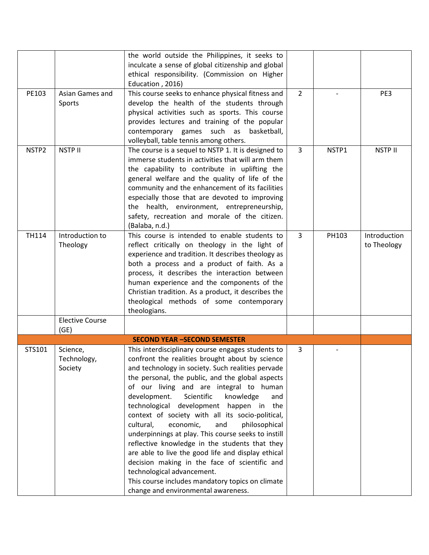|              |                        | the world outside the Philippines, it seeks to      |                |                          |                |
|--------------|------------------------|-----------------------------------------------------|----------------|--------------------------|----------------|
|              |                        | inculcate a sense of global citizenship and global  |                |                          |                |
|              |                        | ethical responsibility. (Commission on Higher       |                |                          |                |
|              |                        |                                                     |                |                          |                |
|              |                        | Education, 2016)                                    |                |                          |                |
| PE103        | Asian Games and        | This course seeks to enhance physical fitness and   | $\overline{2}$ | $\overline{\phantom{a}}$ | PE3            |
|              | Sports                 | develop the health of the students through          |                |                          |                |
|              |                        | physical activities such as sports. This course     |                |                          |                |
|              |                        | provides lectures and training of the popular       |                |                          |                |
|              |                        | contemporary games such as basketball,              |                |                          |                |
|              |                        | volleyball, table tennis among others.              |                |                          |                |
| NSTP2        | <b>NSTP II</b>         | The course is a sequel to NSTP 1. It is designed to | $\overline{3}$ | NSTP1                    | <b>NSTP II</b> |
|              |                        | immerse students in activities that will arm them   |                |                          |                |
|              |                        | the capability to contribute in uplifting the       |                |                          |                |
|              |                        | general welfare and the quality of life of the      |                |                          |                |
|              |                        | community and the enhancement of its facilities     |                |                          |                |
|              |                        | especially those that are devoted to improving      |                |                          |                |
|              |                        | the health, environment, entrepreneurship,          |                |                          |                |
|              |                        | safety, recreation and morale of the citizen.       |                |                          |                |
|              |                        | (Balaba, n.d.)                                      |                |                          |                |
| <b>TH114</b> | Introduction to        | This course is intended to enable students to       | 3              | PH103                    | Introduction   |
|              | Theology               | reflect critically on theology in the light of      |                |                          | to Theology    |
|              |                        | experience and tradition. It describes theology as  |                |                          |                |
|              |                        |                                                     |                |                          |                |
|              |                        | both a process and a product of faith. As a         |                |                          |                |
|              |                        | process, it describes the interaction between       |                |                          |                |
|              |                        | human experience and the components of the          |                |                          |                |
|              |                        | Christian tradition. As a product, it describes the |                |                          |                |
|              |                        | theological methods of some contemporary            |                |                          |                |
|              |                        | theologians.                                        |                |                          |                |
|              | <b>Elective Course</b> |                                                     |                |                          |                |
|              | (GE)                   |                                                     |                |                          |                |
|              |                        | <b>SECOND YEAR -SECOND SEMESTER</b>                 |                |                          |                |
| STS101       | Science,               | This interdisciplinary course engages students to   | 3              |                          |                |
|              | Technology,            | confront the realities brought about by science     |                |                          |                |
|              | Society                | and technology in society. Such realities pervade   |                |                          |                |
|              |                        | the personal, the public, and the global aspects    |                |                          |                |
|              |                        | of our living and are integral to human             |                |                          |                |
|              |                        | development.<br>Scientific<br>knowledge<br>and      |                |                          |                |
|              |                        | technological development happen in the             |                |                          |                |
|              |                        | context of society with all its socio-political,    |                |                          |                |
|              |                        | cultural,<br>economic,<br>and<br>philosophical      |                |                          |                |
|              |                        | underpinnings at play. This course seeks to instill |                |                          |                |
|              |                        |                                                     |                |                          |                |
|              |                        | reflective knowledge in the students that they      |                |                          |                |
|              |                        | are able to live the good life and display ethical  |                |                          |                |
|              |                        | decision making in the face of scientific and       |                |                          |                |
|              |                        | technological advancement.                          |                |                          |                |
|              |                        | This course includes mandatory topics on climate    |                |                          |                |
|              |                        | change and environmental awareness.                 |                |                          |                |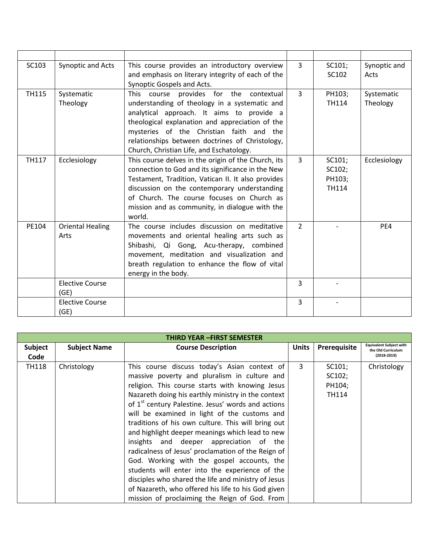| SC103        | Synoptic and Acts               | This course provides an introductory overview<br>and emphasis on literary integrity of each of the<br>Synoptic Gospels and Acts.                                                                                                                                                                                                    | 3              | SC101;<br>SC102                            | Synoptic and<br>Acts   |
|--------------|---------------------------------|-------------------------------------------------------------------------------------------------------------------------------------------------------------------------------------------------------------------------------------------------------------------------------------------------------------------------------------|----------------|--------------------------------------------|------------------------|
| <b>TH115</b> | Systematic<br>Theology          | This course provides for the contextual<br>understanding of theology in a systematic and<br>analytical approach. It aims to provide a<br>theological explanation and appreciation of the<br>mysteries of the Christian faith and the<br>relationships between doctrines of Christology,<br>Church, Christian Life, and Eschatology. | 3              | PH103;<br><b>TH114</b>                     | Systematic<br>Theology |
| <b>TH117</b> | Ecclesiology                    | This course delves in the origin of the Church, its<br>connection to God and its significance in the New<br>Testament, Tradition, Vatican II. It also provides<br>discussion on the contemporary understanding<br>of Church. The course focuses on Church as<br>mission and as community, in dialogue with the<br>world.            | 3              | SC101;<br>SC102;<br>PH103;<br><b>TH114</b> | Ecclesiology           |
| PE104        | <b>Oriental Healing</b><br>Arts | The course includes discussion on meditative<br>movements and oriental healing arts such as<br>Shibashi, Qi Gong, Acu-therapy, combined<br>movement, meditation and visualization and<br>breath regulation to enhance the flow of vital<br>energy in the body.                                                                      | $\overline{2}$ |                                            | PE4                    |
|              | <b>Elective Course</b><br>(GE)  |                                                                                                                                                                                                                                                                                                                                     | $\overline{3}$ |                                            |                        |
|              | <b>Elective Course</b><br>(GE)  |                                                                                                                                                                                                                                                                                                                                     | 3              |                                            |                        |

|                        | <b>THIRD YEAR -FIRST SEMESTER</b> |                                                                                                                                                                                                                                                                                                                                                                                                                                                                                                                                                                                                                                                                                                                                                                                                 |              |                                                         |                                                                       |  |  |
|------------------------|-----------------------------------|-------------------------------------------------------------------------------------------------------------------------------------------------------------------------------------------------------------------------------------------------------------------------------------------------------------------------------------------------------------------------------------------------------------------------------------------------------------------------------------------------------------------------------------------------------------------------------------------------------------------------------------------------------------------------------------------------------------------------------------------------------------------------------------------------|--------------|---------------------------------------------------------|-----------------------------------------------------------------------|--|--|
| <b>Subject</b><br>Code | <b>Subject Name</b>               | <b>Course Description</b>                                                                                                                                                                                                                                                                                                                                                                                                                                                                                                                                                                                                                                                                                                                                                                       | <b>Units</b> | Prerequisite                                            | <b>Equivalent Subject with</b><br>the Old Curriculum<br>$(2018-2019)$ |  |  |
| TH118                  | Christology                       | This course discuss today's Asian context of<br>massive poverty and pluralism in culture and<br>religion. This course starts with knowing Jesus<br>Nazareth doing his earthly ministry in the context<br>of 1 <sup>st</sup> century Palestine. Jesus' words and actions<br>will be examined in light of the customs and<br>traditions of his own culture. This will bring out<br>and highlight deeper meanings which lead to new<br>insights and deeper appreciation of the<br>radicalness of Jesus' proclamation of the Reign of<br>God. Working with the gospel accounts, the<br>students will enter into the experience of the<br>disciples who shared the life and ministry of Jesus<br>of Nazareth, who offered his life to his God given<br>mission of proclaiming the Reign of God. From | 3            | SC101;<br>SC <sub>102</sub> ;<br>PH104;<br><b>TH114</b> | Christology                                                           |  |  |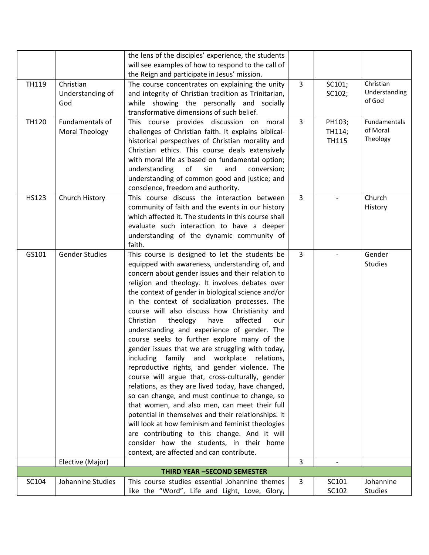|              |                       | the lens of the disciples' experience, the students  |                |              |                |
|--------------|-----------------------|------------------------------------------------------|----------------|--------------|----------------|
|              |                       | will see examples of how to respond to the call of   |                |              |                |
|              |                       | the Reign and participate in Jesus' mission.         |                |              |                |
| TH119        | Christian             | The course concentrates on explaining the unity      | 3              | SC101;       | Christian      |
|              | Understanding of      | and integrity of Christian tradition as Trinitarian, |                | SC102;       | Understanding  |
|              | God                   | while showing the personally and socially            |                |              | of God         |
|              |                       | transformative dimensions of such belief.            |                |              |                |
| <b>TH120</b> | Fundamentals of       | This course provides discussion on moral             | 3              | PH103;       | Fundamentals   |
|              | <b>Moral Theology</b> | challenges of Christian faith. It explains biblical- |                | TH114;       | of Moral       |
|              |                       | historical perspectives of Christian morality and    |                | <b>TH115</b> | Theology       |
|              |                       | Christian ethics. This course deals extensively      |                |              |                |
|              |                       | with moral life as based on fundamental option;      |                |              |                |
|              |                       | understanding<br>of<br>sin<br>and<br>conversion;     |                |              |                |
|              |                       | understanding of common good and justice; and        |                |              |                |
|              |                       | conscience, freedom and authority.                   |                |              |                |
| HS123        | Church History        | This course discuss the interaction between          | 3              |              | Church         |
|              |                       | community of faith and the events in our history     |                |              | History        |
|              |                       | which affected it. The students in this course shall |                |              |                |
|              |                       | evaluate such interaction to have a deeper           |                |              |                |
|              |                       | understanding of the dynamic community of            |                |              |                |
|              |                       | faith.                                               |                |              |                |
| GS101        | <b>Gender Studies</b> | This course is designed to let the students be       | $\overline{3}$ |              | Gender         |
|              |                       | equipped with awareness, understanding of, and       |                |              | <b>Studies</b> |
|              |                       | concern about gender issues and their relation to    |                |              |                |
|              |                       | religion and theology. It involves debates over      |                |              |                |
|              |                       | the context of gender in biological science and/or   |                |              |                |
|              |                       | in the context of socialization processes. The       |                |              |                |
|              |                       | course will also discuss how Christianity and        |                |              |                |
|              |                       | Christian<br>affected<br>theology<br>have<br>our     |                |              |                |
|              |                       | understanding and experience of gender. The          |                |              |                |
|              |                       | course seeks to further explore many of the          |                |              |                |
|              |                       |                                                      |                |              |                |
|              |                       | gender issues that we are struggling with today,     |                |              |                |
|              |                       | including family and workplace relations,            |                |              |                |
|              |                       | reproductive rights, and gender violence. The        |                |              |                |
|              |                       | course will argue that, cross-culturally, gender     |                |              |                |
|              |                       | relations, as they are lived today, have changed,    |                |              |                |
|              |                       | so can change, and must continue to change, so       |                |              |                |
|              |                       | that women, and also men, can meet their full        |                |              |                |
|              |                       | potential in themselves and their relationships. It  |                |              |                |
|              |                       | will look at how feminism and feminist theologies    |                |              |                |
|              |                       | are contributing to this change. And it will         |                |              |                |
|              |                       | consider how the students, in their home             |                |              |                |
|              |                       | context, are affected and can contribute.            |                |              |                |
|              | Elective (Major)      |                                                      | 3              |              |                |
|              |                       | <b>THIRD YEAR -SECOND SEMESTER</b>                   |                |              |                |
| SC104        | Johannine Studies     | This course studies essential Johannine themes       | 3              | SC101        | Johannine      |
|              |                       | like the "Word", Life and Light, Love, Glory,        |                | SC102        | <b>Studies</b> |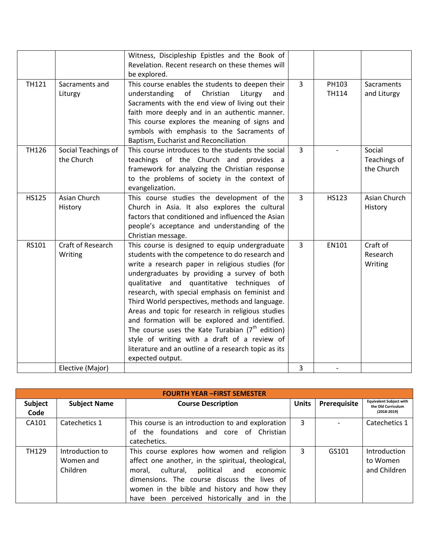|              |                                   | Witness, Discipleship Epistles and the Book of<br>Revelation. Recent research on these themes will<br>be explored.                                                                                                                                                                                                                                                                                                                                                                                                                                                                                                                               |                |                       |                                      |
|--------------|-----------------------------------|--------------------------------------------------------------------------------------------------------------------------------------------------------------------------------------------------------------------------------------------------------------------------------------------------------------------------------------------------------------------------------------------------------------------------------------------------------------------------------------------------------------------------------------------------------------------------------------------------------------------------------------------------|----------------|-----------------------|--------------------------------------|
| <b>TH121</b> | Sacraments and<br>Liturgy         | This course enables the students to deepen their<br>understanding<br>of<br>Christian<br>Liturgy<br>and<br>Sacraments with the end view of living out their<br>faith more deeply and in an authentic manner.<br>This course explores the meaning of signs and<br>symbols with emphasis to the Sacraments of<br>Baptism, Eucharist and Reconciliation                                                                                                                                                                                                                                                                                              | $\overline{3}$ | PH103<br><b>TH114</b> | Sacraments<br>and Liturgy            |
| <b>TH126</b> | Social Teachings of<br>the Church | This course introduces to the students the social<br>teachings of the Church and provides a<br>framework for analyzing the Christian response<br>to the problems of society in the context of<br>evangelization.                                                                                                                                                                                                                                                                                                                                                                                                                                 | $\overline{3}$ |                       | Social<br>Teachings of<br>the Church |
| <b>HS125</b> | Asian Church<br>History           | This course studies the development of the<br>Church in Asia. It also explores the cultural<br>factors that conditioned and influenced the Asian<br>people's acceptance and understanding of the<br>Christian message.                                                                                                                                                                                                                                                                                                                                                                                                                           | $\overline{3}$ | <b>HS123</b>          | Asian Church<br>History              |
| RS101        | Craft of Research<br>Writing      | This course is designed to equip undergraduate<br>students with the competence to do research and<br>write a research paper in religious studies (for<br>undergraduates by providing a survey of both<br>qualitative and quantitative techniques of<br>research, with special emphasis on feminist and<br>Third World perspectives, methods and language.<br>Areas and topic for research in religious studies<br>and formation will be explored and identified.<br>The course uses the Kate Turabian $7th$ edition)<br>style of writing with a draft of a review of<br>literature and an outline of a research topic as its<br>expected output. | $\overline{3}$ | EN101                 | Craft of<br>Research<br>Writing      |
|              | Elective (Major)                  |                                                                                                                                                                                                                                                                                                                                                                                                                                                                                                                                                                                                                                                  | 3              |                       |                                      |

| <b>FOURTH YEAR -FIRST SEMESTER</b> |                                          |                                                                                                                                                                                                                                                                                                       |              |              |                                                                       |  |  |  |
|------------------------------------|------------------------------------------|-------------------------------------------------------------------------------------------------------------------------------------------------------------------------------------------------------------------------------------------------------------------------------------------------------|--------------|--------------|-----------------------------------------------------------------------|--|--|--|
| Subject<br>Code                    | <b>Subject Name</b>                      | <b>Course Description</b>                                                                                                                                                                                                                                                                             | <b>Units</b> | Prerequisite | <b>Equivalent Subject with</b><br>the Old Curriculum<br>$(2018-2019)$ |  |  |  |
| CA101                              | Catechetics 1                            | This course is an introduction to and exploration<br>of the foundations and core of Christian<br>catechetics.                                                                                                                                                                                         | 3            |              | Catechetics 1                                                         |  |  |  |
| <b>TH129</b>                       | Introduction to<br>Women and<br>Children | This course explores how women and religion<br>affect one another, in the spiritual, theological,<br>cultural, political<br>and<br>economic<br>moral.<br>dimensions. The course discuss the lives of<br>women in the bible and history and how they<br>been perceived historically and in the<br>have | 3            | GS101        | Introduction<br>to Women<br>and Children                              |  |  |  |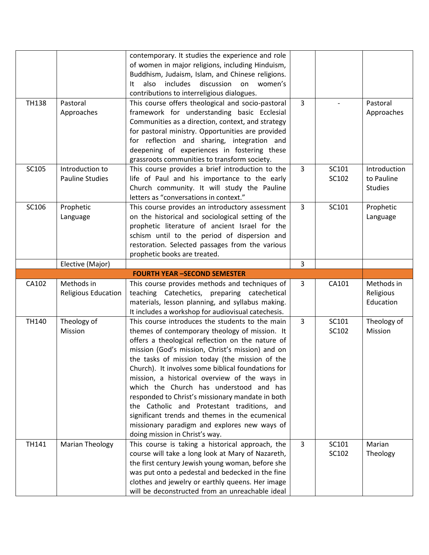|              |                            | contemporary. It studies the experience and role                                                     |                |       |                |
|--------------|----------------------------|------------------------------------------------------------------------------------------------------|----------------|-------|----------------|
|              |                            | of women in major religions, including Hinduism,                                                     |                |       |                |
|              |                            | Buddhism, Judaism, Islam, and Chinese religions.                                                     |                |       |                |
|              |                            | discussion on<br>also<br>includes<br>women's<br>It                                                   |                |       |                |
|              |                            | contributions to interreligious dialogues.                                                           |                |       |                |
| <b>TH138</b> | Pastoral                   | This course offers theological and socio-pastoral                                                    | $\mathbf{3}$   |       | Pastoral       |
|              | Approaches                 | framework for understanding basic Ecclesial                                                          |                |       | Approaches     |
|              |                            | Communities as a direction, context, and strategy                                                    |                |       |                |
|              |                            | for pastoral ministry. Opportunities are provided                                                    |                |       |                |
|              |                            | for reflection and sharing, integration and                                                          |                |       |                |
|              |                            | deepening of experiences in fostering these                                                          |                |       |                |
|              |                            | grassroots communities to transform society.                                                         |                |       |                |
| SC105        | Introduction to            | This course provides a brief introduction to the                                                     | $\overline{3}$ | SC101 | Introduction   |
|              | <b>Pauline Studies</b>     | life of Paul and his importance to the early                                                         |                | SC102 | to Pauline     |
|              |                            | Church community. It will study the Pauline                                                          |                |       | <b>Studies</b> |
|              |                            | letters as "conversations in context."                                                               |                |       |                |
| SC106        | Prophetic                  | This course provides an introductory assessment                                                      | 3              | SC101 | Prophetic      |
|              | Language                   | on the historical and sociological setting of the                                                    |                |       | Language       |
|              |                            | prophetic literature of ancient Israel for the                                                       |                |       |                |
|              |                            | schism until to the period of dispersion and                                                         |                |       |                |
|              |                            | restoration. Selected passages from the various                                                      |                |       |                |
|              |                            | prophetic books are treated.                                                                         |                |       |                |
|              | Elective (Major)           |                                                                                                      | 3              |       |                |
|              |                            |                                                                                                      |                |       |                |
|              |                            | <b>FOURTH YEAR -SECOND SEMESTER</b>                                                                  |                |       |                |
| CA102        | Methods in                 | This course provides methods and techniques of                                                       | 3              | CA101 | Methods in     |
|              | <b>Religious Education</b> | teaching Catechetics, preparing catechetical                                                         |                |       | Religious      |
|              |                            | materials, lesson planning, and syllabus making.                                                     |                |       | Education      |
|              |                            | It includes a workshop for audiovisual catechesis.                                                   |                |       |                |
| TH140        | Theology of                | This course introduces the students to the main                                                      | $\overline{3}$ | SC101 | Theology of    |
|              | Mission                    | themes of contemporary theology of mission. It                                                       |                | SC102 | Mission        |
|              |                            | offers a theological reflection on the nature of                                                     |                |       |                |
|              |                            | mission (God's mission, Christ's mission) and on                                                     |                |       |                |
|              |                            | the tasks of mission today (the mission of the                                                       |                |       |                |
|              |                            | Church). It involves some biblical foundations for                                                   |                |       |                |
|              |                            | mission, a historical overview of the ways in                                                        |                |       |                |
|              |                            | which the Church has understood and has                                                              |                |       |                |
|              |                            |                                                                                                      |                |       |                |
|              |                            | responded to Christ's missionary mandate in both<br>the Catholic and Protestant traditions, and      |                |       |                |
|              |                            |                                                                                                      |                |       |                |
|              |                            | significant trends and themes in the ecumenical                                                      |                |       |                |
|              |                            | missionary paradigm and explores new ways of<br>doing mission in Christ's way.                       |                |       |                |
| TH141        | <b>Marian Theology</b>     | This course is taking a historical approach, the                                                     | $\mathbf{3}$   | SC101 | Marian         |
|              |                            |                                                                                                      |                | SC102 |                |
|              |                            | course will take a long look at Mary of Nazareth,                                                    |                |       | Theology       |
|              |                            | the first century Jewish young woman, before she                                                     |                |       |                |
|              |                            | was put onto a pedestal and bedecked in the fine<br>clothes and jewelry or earthly queens. Her image |                |       |                |